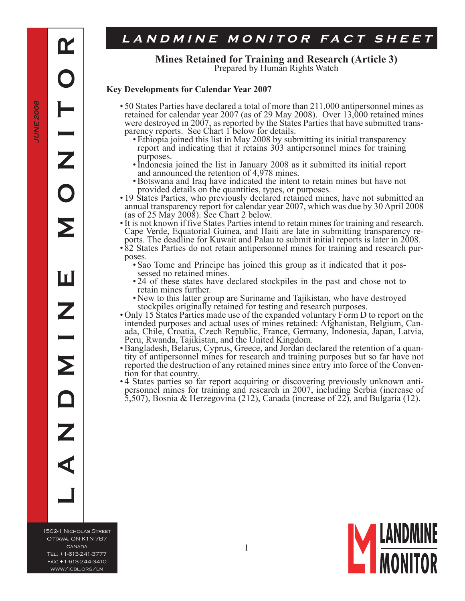**JUNE 2008**

JUNE 2008

# LANDMINE MONITOR FACT SHEET

**Mines Retained for Training and Research (Article 3)**<br>Prepared by Human Rights Watch

### **Key Developments for Calendar Year 2007**

- 50 States Parties have declared a total of more than 211,000 antipersonnel mines as retained for calendar year 2007 (as of 29 May 2008). Over 13,000 retained mines were destroyed in 2007, as reported by the States Parties that have submitted trans- parency reports. See Chart 1 below for details.
	- Ethiopia joined this list in May 2008 by submitting its initial transparency report and indicating that it retains 303 antipersonnel mines for training purposes.
	- Indonesia joined the list in January 2008 as it submitted its initial report and announced the retention of 4,978 mines.
	- Botswana and Iraq have indicated the intent to retain mines but have not provided details on the quantities, types, or purposes.
- 19 States Parties, who previously declared retained mines, have not submitted an annual transparency report for calendar year 2007, which was due by 30 April 2008 (as of 25 May 2008). See Chart 2 below.
- It is not known if five States Parties intend to retain mines for training and research. Cape Verde, Equatorial Guinea, and Haiti are late in submitting transparency re- ports. The deadline for Kuwait and Palau to submit initial reports is later in 2008.
- 82 States Parties do not retain antipersonnel mines for training and research pur- poses.
	- Sao Tome and Principe has joined this group as it indicated that it pos- sessed no retained mines. •
	- 24 of these states have declared stockpiles in the past and chose not to retain mines further.
	- New to this latter group are Suriname and Tajikistan, who have destroyed stockpiles originally retained for testing and research purposes.
- Only 15 States Parties made use of the expanded voluntary Form D to report on the intended purposes and actual uses of mines retained: Afghanistan, Belgium, Can- ada, Chile, Croatia, Czech Republic, France, Germany, Indonesia, Japan, Latvia, Peru, Rwanda, Tajikistan, and the United Kingdom.
- tity of antipersonnel mines for research and training purposes but so far have not reported the destruction of any retained mines since entry into force of the Conven- tion for that country. • Bangladesh, Belarus, Cyprus, Greece, and Jordan declared the retention of a quan-
- 4 States parties so far report acquiring or discovering previously unknown anti- personnel mines for training and research in 2007, including Serbia (increase of •5,507), Bosnia & Herzegovina (212), Canada (increase of 22), and Bulgaria (12).

1502-1 Nicholas Street Ottawa, ON K1N 7B7 canada Tel: +1-613-241-3777 Fax: +1-613-244-3410 www/icbl.org/lm